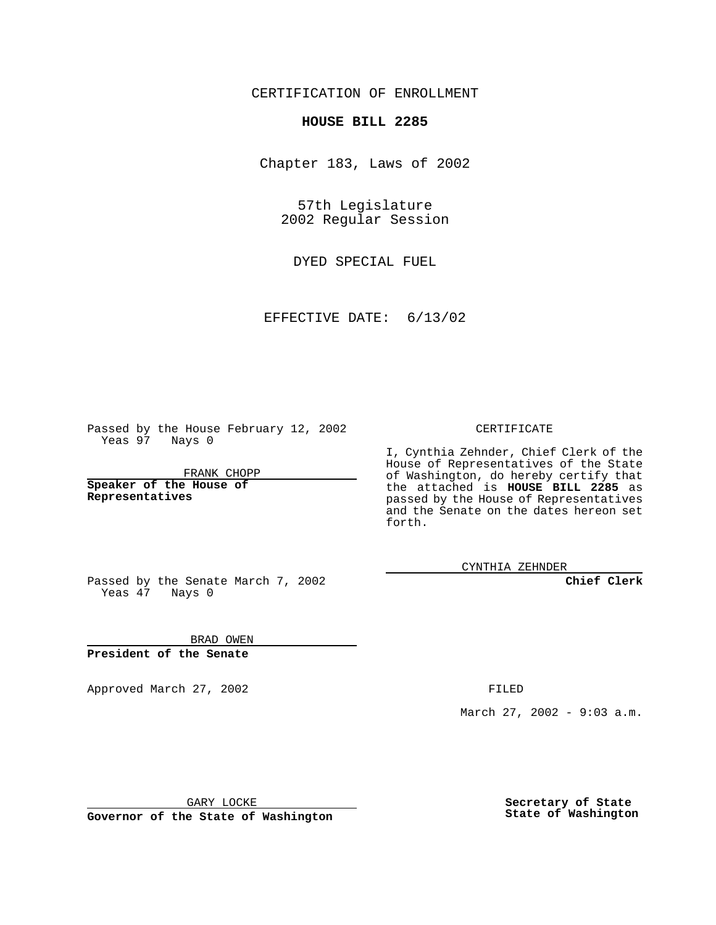CERTIFICATION OF ENROLLMENT

## **HOUSE BILL 2285**

Chapter 183, Laws of 2002

57th Legislature 2002 Regular Session

DYED SPECIAL FUEL

EFFECTIVE DATE: 6/13/02

Passed by the House February 12, 2002 Yeas 97 Nays 0

FRANK CHOPP

**Speaker of the House of Representatives**

CERTIFICATE

I, Cynthia Zehnder, Chief Clerk of the House of Representatives of the State of Washington, do hereby certify that the attached is **HOUSE BILL 2285** as passed by the House of Representatives and the Senate on the dates hereon set forth.

CYNTHIA ZEHNDER

**Chief Clerk**

Passed by the Senate March 7, 2002 Yeas  $47$  Nays 0

BRAD OWEN **President of the Senate**

Approved March 27, 2002 **FILED** 

March 27, 2002 - 9:03 a.m.

GARY LOCKE

**Governor of the State of Washington**

**Secretary of State State of Washington**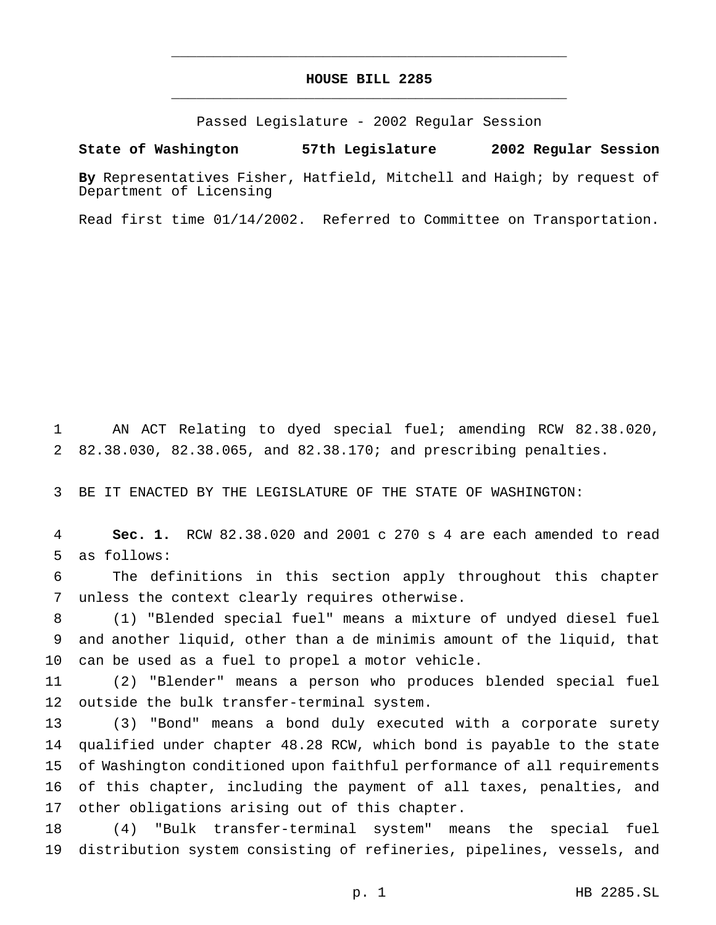## **HOUSE BILL 2285** \_\_\_\_\_\_\_\_\_\_\_\_\_\_\_\_\_\_\_\_\_\_\_\_\_\_\_\_\_\_\_\_\_\_\_\_\_\_\_\_\_\_\_\_\_\_\_

\_\_\_\_\_\_\_\_\_\_\_\_\_\_\_\_\_\_\_\_\_\_\_\_\_\_\_\_\_\_\_\_\_\_\_\_\_\_\_\_\_\_\_\_\_\_\_

Passed Legislature - 2002 Regular Session

## **State of Washington 57th Legislature 2002 Regular Session**

**By** Representatives Fisher, Hatfield, Mitchell and Haigh; by request of Department of Licensing

Read first time 01/14/2002. Referred to Committee on Transportation.

 AN ACT Relating to dyed special fuel; amending RCW 82.38.020, 82.38.030, 82.38.065, and 82.38.170; and prescribing penalties.

BE IT ENACTED BY THE LEGISLATURE OF THE STATE OF WASHINGTON:

 **Sec. 1.** RCW 82.38.020 and 2001 c 270 s 4 are each amended to read as follows:

 The definitions in this section apply throughout this chapter unless the context clearly requires otherwise.

 (1) "Blended special fuel" means a mixture of undyed diesel fuel and another liquid, other than a de minimis amount of the liquid, that can be used as a fuel to propel a motor vehicle.

 (2) "Blender" means a person who produces blended special fuel outside the bulk transfer-terminal system.

 (3) "Bond" means a bond duly executed with a corporate surety qualified under chapter 48.28 RCW, which bond is payable to the state of Washington conditioned upon faithful performance of all requirements of this chapter, including the payment of all taxes, penalties, and other obligations arising out of this chapter.

 (4) "Bulk transfer-terminal system" means the special fuel distribution system consisting of refineries, pipelines, vessels, and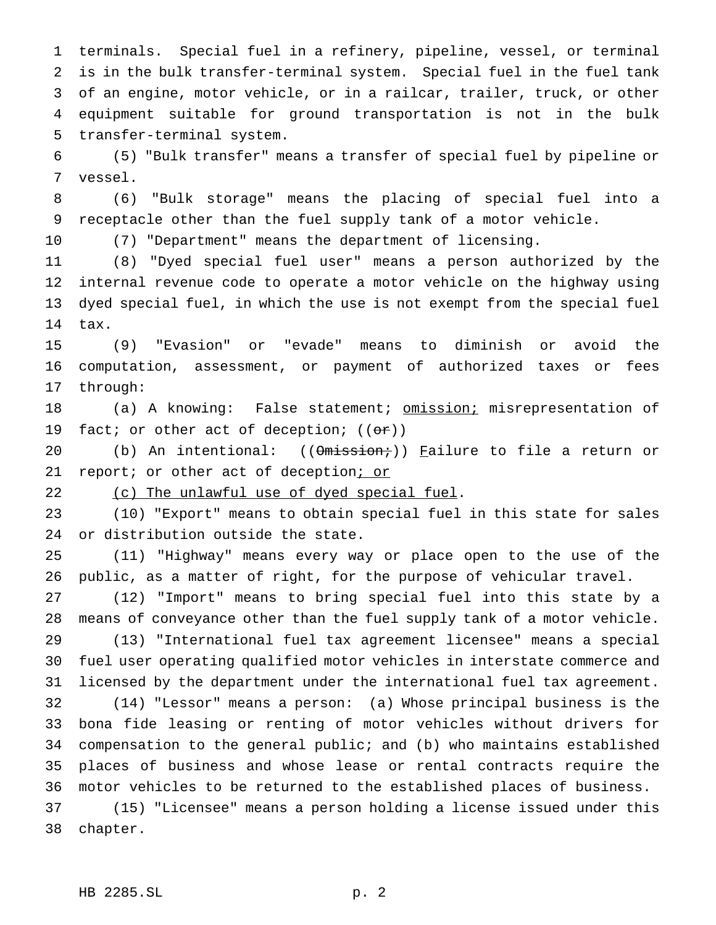terminals. Special fuel in a refinery, pipeline, vessel, or terminal is in the bulk transfer-terminal system. Special fuel in the fuel tank of an engine, motor vehicle, or in a railcar, trailer, truck, or other equipment suitable for ground transportation is not in the bulk transfer-terminal system.

 (5) "Bulk transfer" means a transfer of special fuel by pipeline or vessel.

 (6) "Bulk storage" means the placing of special fuel into a receptacle other than the fuel supply tank of a motor vehicle.

(7) "Department" means the department of licensing.

 (8) "Dyed special fuel user" means a person authorized by the internal revenue code to operate a motor vehicle on the highway using dyed special fuel, in which the use is not exempt from the special fuel tax.

 (9) "Evasion" or "evade" means to diminish or avoid the computation, assessment, or payment of authorized taxes or fees through:

18 (a) A knowing: False statement; omission; misrepresentation of 19 fact; or other act of deception;  $((\theta \cdot \mathbf{r}))$ 

20 (b) An intentional: ((Omission;)) Failure to file a return or 21 report; or other act of deception; or

22 (c) The unlawful use of dyed special fuel.

 (10) "Export" means to obtain special fuel in this state for sales or distribution outside the state.

 (11) "Highway" means every way or place open to the use of the public, as a matter of right, for the purpose of vehicular travel.

 (12) "Import" means to bring special fuel into this state by a means of conveyance other than the fuel supply tank of a motor vehicle. (13) "International fuel tax agreement licensee" means a special

 fuel user operating qualified motor vehicles in interstate commerce and licensed by the department under the international fuel tax agreement.

 (14) "Lessor" means a person: (a) Whose principal business is the bona fide leasing or renting of motor vehicles without drivers for compensation to the general public; and (b) who maintains established places of business and whose lease or rental contracts require the motor vehicles to be returned to the established places of business.

 (15) "Licensee" means a person holding a license issued under this chapter.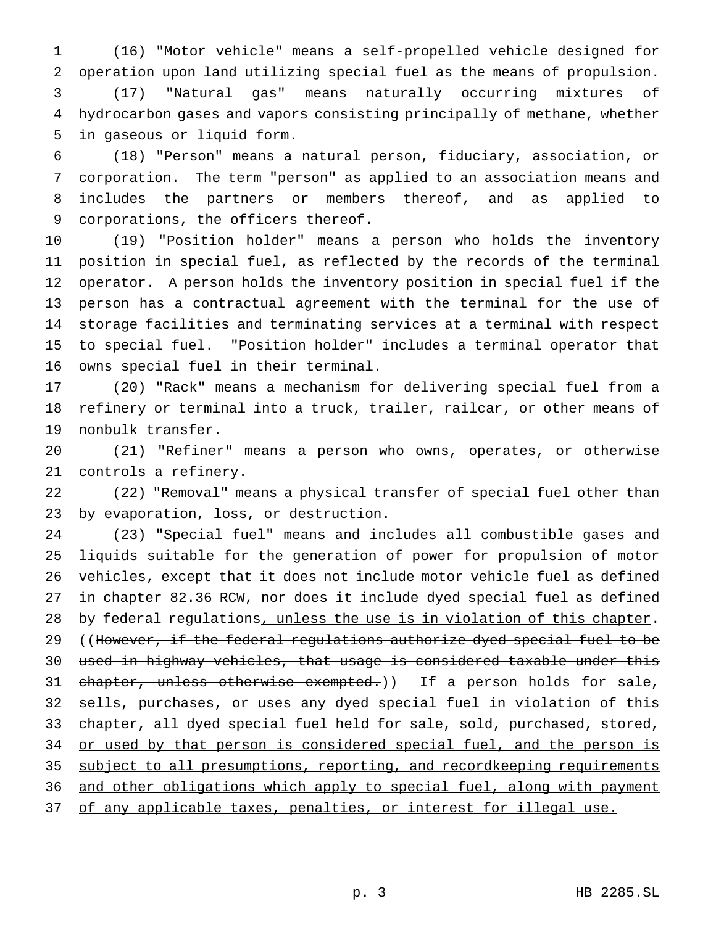(16) "Motor vehicle" means a self-propelled vehicle designed for operation upon land utilizing special fuel as the means of propulsion. (17) "Natural gas" means naturally occurring mixtures of hydrocarbon gases and vapors consisting principally of methane, whether in gaseous or liquid form.

 (18) "Person" means a natural person, fiduciary, association, or corporation. The term "person" as applied to an association means and includes the partners or members thereof, and as applied to corporations, the officers thereof.

 (19) "Position holder" means a person who holds the inventory position in special fuel, as reflected by the records of the terminal operator. A person holds the inventory position in special fuel if the person has a contractual agreement with the terminal for the use of storage facilities and terminating services at a terminal with respect to special fuel. "Position holder" includes a terminal operator that owns special fuel in their terminal.

 (20) "Rack" means a mechanism for delivering special fuel from a refinery or terminal into a truck, trailer, railcar, or other means of nonbulk transfer.

 (21) "Refiner" means a person who owns, operates, or otherwise controls a refinery.

 (22) "Removal" means a physical transfer of special fuel other than by evaporation, loss, or destruction.

 (23) "Special fuel" means and includes all combustible gases and liquids suitable for the generation of power for propulsion of motor vehicles, except that it does not include motor vehicle fuel as defined in chapter 82.36 RCW, nor does it include dyed special fuel as defined 28 by federal regulations, unless the use is in violation of this chapter. 29 ((However, if the federal regulations authorize dyed special fuel to be used in highway vehicles, that usage is considered taxable under this 31 chapter, unless otherwise exempted.)) If a person holds for sale, sells, purchases, or uses any dyed special fuel in violation of this 33 chapter, all dyed special fuel held for sale, sold, purchased, stored, 34 or used by that person is considered special fuel, and the person is subject to all presumptions, reporting, and recordkeeping requirements 36 and other obligations which apply to special fuel, along with payment 37 of any applicable taxes, penalties, or interest for illegal use.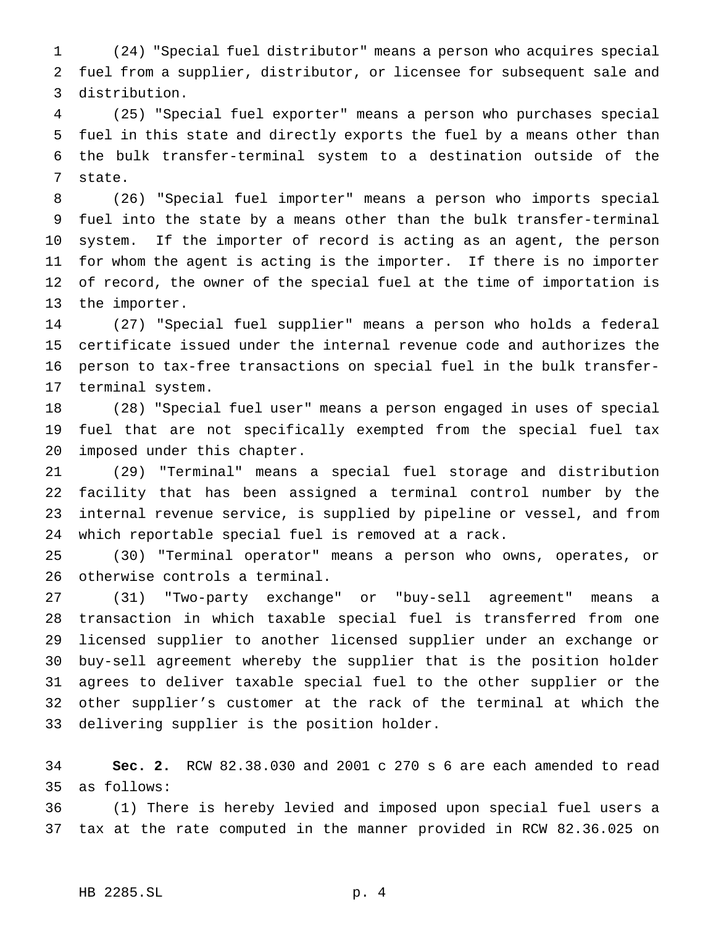(24) "Special fuel distributor" means a person who acquires special fuel from a supplier, distributor, or licensee for subsequent sale and distribution.

 (25) "Special fuel exporter" means a person who purchases special fuel in this state and directly exports the fuel by a means other than the bulk transfer-terminal system to a destination outside of the state.

 (26) "Special fuel importer" means a person who imports special fuel into the state by a means other than the bulk transfer-terminal system. If the importer of record is acting as an agent, the person for whom the agent is acting is the importer. If there is no importer of record, the owner of the special fuel at the time of importation is the importer.

 (27) "Special fuel supplier" means a person who holds a federal certificate issued under the internal revenue code and authorizes the person to tax-free transactions on special fuel in the bulk transfer-terminal system.

 (28) "Special fuel user" means a person engaged in uses of special fuel that are not specifically exempted from the special fuel tax imposed under this chapter.

 (29) "Terminal" means a special fuel storage and distribution facility that has been assigned a terminal control number by the internal revenue service, is supplied by pipeline or vessel, and from which reportable special fuel is removed at a rack.

 (30) "Terminal operator" means a person who owns, operates, or otherwise controls a terminal.

 (31) "Two-party exchange" or "buy-sell agreement" means a transaction in which taxable special fuel is transferred from one licensed supplier to another licensed supplier under an exchange or buy-sell agreement whereby the supplier that is the position holder agrees to deliver taxable special fuel to the other supplier or the other supplier's customer at the rack of the terminal at which the delivering supplier is the position holder.

 **Sec. 2.** RCW 82.38.030 and 2001 c 270 s 6 are each amended to read as follows:

 (1) There is hereby levied and imposed upon special fuel users a tax at the rate computed in the manner provided in RCW 82.36.025 on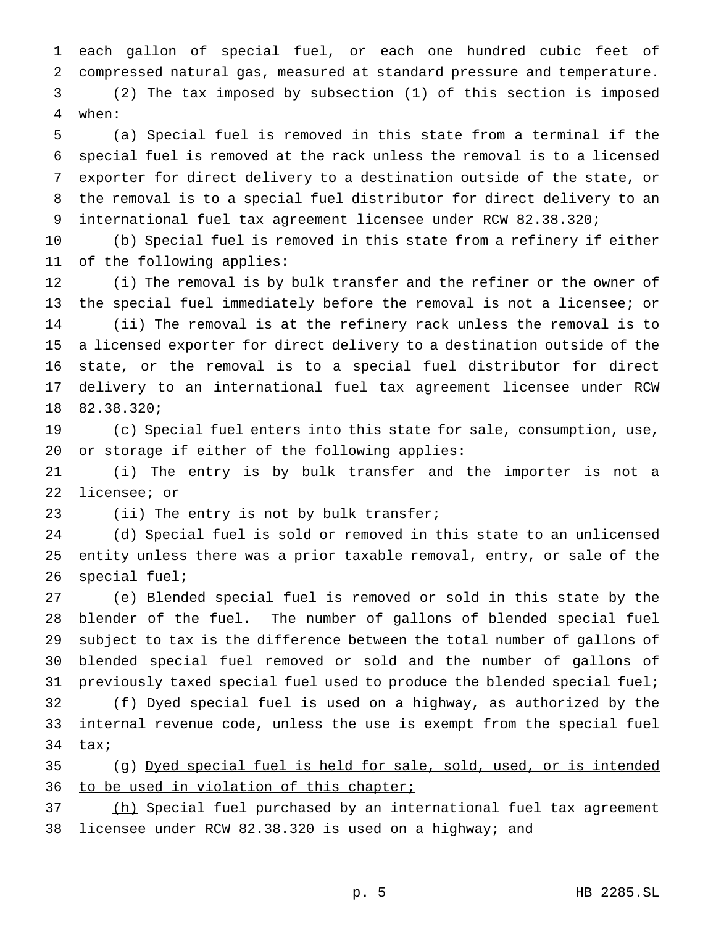each gallon of special fuel, or each one hundred cubic feet of compressed natural gas, measured at standard pressure and temperature. (2) The tax imposed by subsection (1) of this section is imposed

when:

 (a) Special fuel is removed in this state from a terminal if the special fuel is removed at the rack unless the removal is to a licensed exporter for direct delivery to a destination outside of the state, or the removal is to a special fuel distributor for direct delivery to an international fuel tax agreement licensee under RCW 82.38.320;

 (b) Special fuel is removed in this state from a refinery if either of the following applies:

 (i) The removal is by bulk transfer and the refiner or the owner of the special fuel immediately before the removal is not a licensee; or (ii) The removal is at the refinery rack unless the removal is to a licensed exporter for direct delivery to a destination outside of the state, or the removal is to a special fuel distributor for direct delivery to an international fuel tax agreement licensee under RCW 82.38.320;

 (c) Special fuel enters into this state for sale, consumption, use, or storage if either of the following applies:

 (i) The entry is by bulk transfer and the importer is not a licensee; or

(ii) The entry is not by bulk transfer;

 (d) Special fuel is sold or removed in this state to an unlicensed entity unless there was a prior taxable removal, entry, or sale of the special fuel;

 (e) Blended special fuel is removed or sold in this state by the blender of the fuel. The number of gallons of blended special fuel subject to tax is the difference between the total number of gallons of blended special fuel removed or sold and the number of gallons of previously taxed special fuel used to produce the blended special fuel; (f) Dyed special fuel is used on a highway, as authorized by the internal revenue code, unless the use is exempt from the special fuel tax;

 (g) Dyed special fuel is held for sale, sold, used, or is intended 36 to be used in violation of this chapter;

37 (h) Special fuel purchased by an international fuel tax agreement licensee under RCW 82.38.320 is used on a highway; and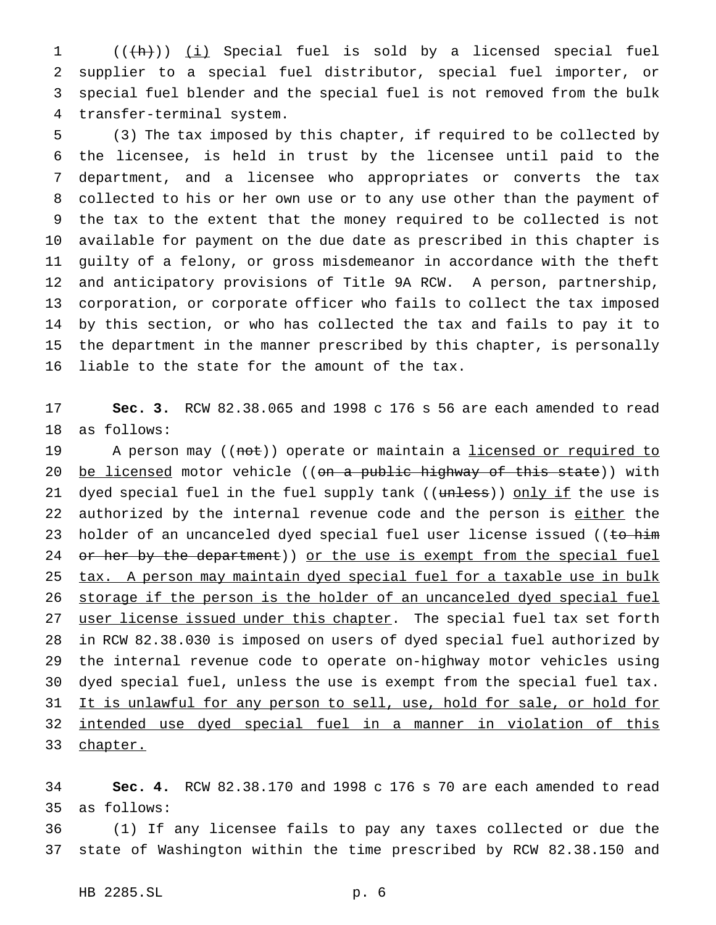1 (( $\frac{h}{h}$ )) (i) Special fuel is sold by a licensed special fuel supplier to a special fuel distributor, special fuel importer, or special fuel blender and the special fuel is not removed from the bulk transfer-terminal system.

 (3) The tax imposed by this chapter, if required to be collected by the licensee, is held in trust by the licensee until paid to the department, and a licensee who appropriates or converts the tax collected to his or her own use or to any use other than the payment of the tax to the extent that the money required to be collected is not available for payment on the due date as prescribed in this chapter is guilty of a felony, or gross misdemeanor in accordance with the theft and anticipatory provisions of Title 9A RCW. A person, partnership, corporation, or corporate officer who fails to collect the tax imposed by this section, or who has collected the tax and fails to pay it to the department in the manner prescribed by this chapter, is personally liable to the state for the amount of the tax.

 **Sec. 3.** RCW 82.38.065 and 1998 c 176 s 56 are each amended to read as follows:

19 A person may ((not)) operate or maintain a licensed or required to 20 be licensed motor vehicle ((on a public highway of this state)) with 21 dyed special fuel in the fuel supply tank ((unless)) only if the use is 22 authorized by the internal revenue code and the person is either the 23 holder of an uncanceled dyed special fuel user license issued ((to him 24 or her by the department)) or the use is exempt from the special fuel 25 tax. A person may maintain dyed special fuel for a taxable use in bulk storage if the person is the holder of an uncanceled dyed special fuel 27 user license issued under this chapter. The special fuel tax set forth in RCW 82.38.030 is imposed on users of dyed special fuel authorized by the internal revenue code to operate on-highway motor vehicles using dyed special fuel, unless the use is exempt from the special fuel tax. 31 It is unlawful for any person to sell, use, hold for sale, or hold for intended use dyed special fuel in a manner in violation of this 33 chapter.

 **Sec. 4.** RCW 82.38.170 and 1998 c 176 s 70 are each amended to read as follows:

 (1) If any licensee fails to pay any taxes collected or due the state of Washington within the time prescribed by RCW 82.38.150 and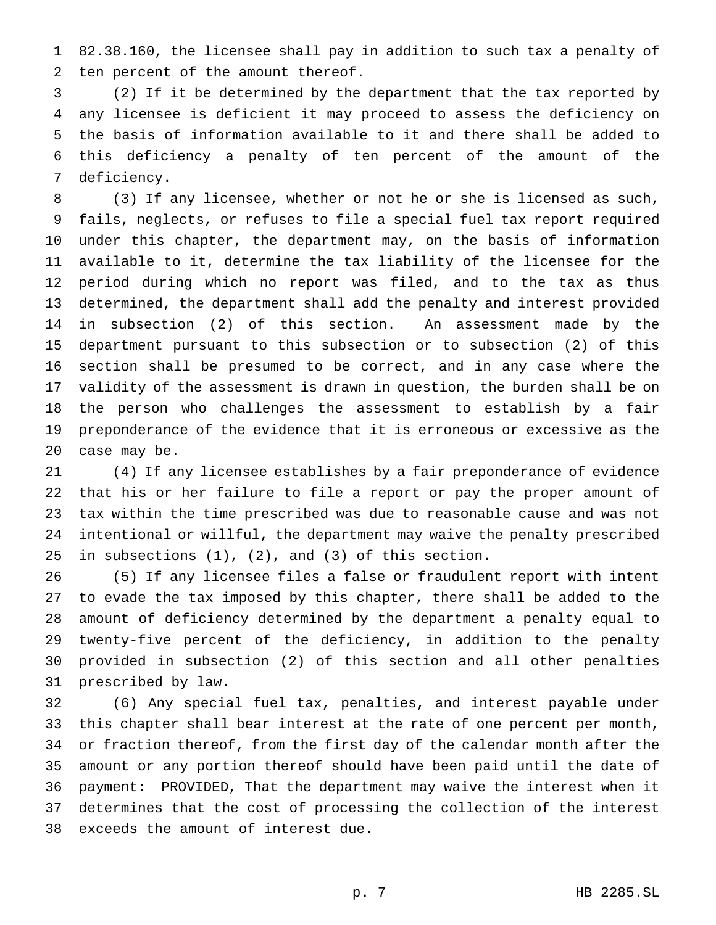82.38.160, the licensee shall pay in addition to such tax a penalty of ten percent of the amount thereof.

 (2) If it be determined by the department that the tax reported by any licensee is deficient it may proceed to assess the deficiency on the basis of information available to it and there shall be added to this deficiency a penalty of ten percent of the amount of the deficiency.

 (3) If any licensee, whether or not he or she is licensed as such, fails, neglects, or refuses to file a special fuel tax report required under this chapter, the department may, on the basis of information available to it, determine the tax liability of the licensee for the period during which no report was filed, and to the tax as thus determined, the department shall add the penalty and interest provided in subsection (2) of this section. An assessment made by the department pursuant to this subsection or to subsection (2) of this section shall be presumed to be correct, and in any case where the validity of the assessment is drawn in question, the burden shall be on the person who challenges the assessment to establish by a fair preponderance of the evidence that it is erroneous or excessive as the case may be.

 (4) If any licensee establishes by a fair preponderance of evidence that his or her failure to file a report or pay the proper amount of tax within the time prescribed was due to reasonable cause and was not intentional or willful, the department may waive the penalty prescribed in subsections (1), (2), and (3) of this section.

 (5) If any licensee files a false or fraudulent report with intent to evade the tax imposed by this chapter, there shall be added to the amount of deficiency determined by the department a penalty equal to twenty-five percent of the deficiency, in addition to the penalty provided in subsection (2) of this section and all other penalties prescribed by law.

 (6) Any special fuel tax, penalties, and interest payable under this chapter shall bear interest at the rate of one percent per month, or fraction thereof, from the first day of the calendar month after the amount or any portion thereof should have been paid until the date of payment: PROVIDED, That the department may waive the interest when it determines that the cost of processing the collection of the interest exceeds the amount of interest due.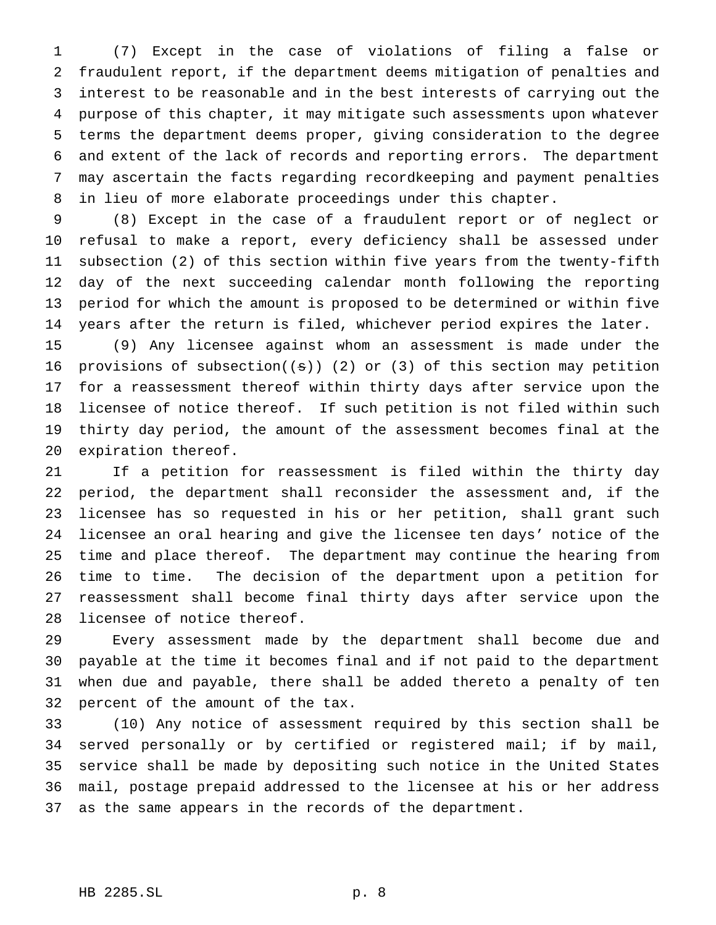(7) Except in the case of violations of filing a false or fraudulent report, if the department deems mitigation of penalties and interest to be reasonable and in the best interests of carrying out the purpose of this chapter, it may mitigate such assessments upon whatever terms the department deems proper, giving consideration to the degree and extent of the lack of records and reporting errors. The department may ascertain the facts regarding recordkeeping and payment penalties in lieu of more elaborate proceedings under this chapter.

 (8) Except in the case of a fraudulent report or of neglect or refusal to make a report, every deficiency shall be assessed under subsection (2) of this section within five years from the twenty-fifth day of the next succeeding calendar month following the reporting period for which the amount is proposed to be determined or within five years after the return is filed, whichever period expires the later.

 (9) Any licensee against whom an assessment is made under the 16 provisions of subsection( $(s)$ ) (2) or (3) of this section may petition for a reassessment thereof within thirty days after service upon the licensee of notice thereof. If such petition is not filed within such thirty day period, the amount of the assessment becomes final at the expiration thereof.

 If a petition for reassessment is filed within the thirty day period, the department shall reconsider the assessment and, if the licensee has so requested in his or her petition, shall grant such licensee an oral hearing and give the licensee ten days' notice of the time and place thereof. The department may continue the hearing from time to time. The decision of the department upon a petition for reassessment shall become final thirty days after service upon the licensee of notice thereof.

 Every assessment made by the department shall become due and payable at the time it becomes final and if not paid to the department when due and payable, there shall be added thereto a penalty of ten percent of the amount of the tax.

 (10) Any notice of assessment required by this section shall be served personally or by certified or registered mail; if by mail, service shall be made by depositing such notice in the United States mail, postage prepaid addressed to the licensee at his or her address as the same appears in the records of the department.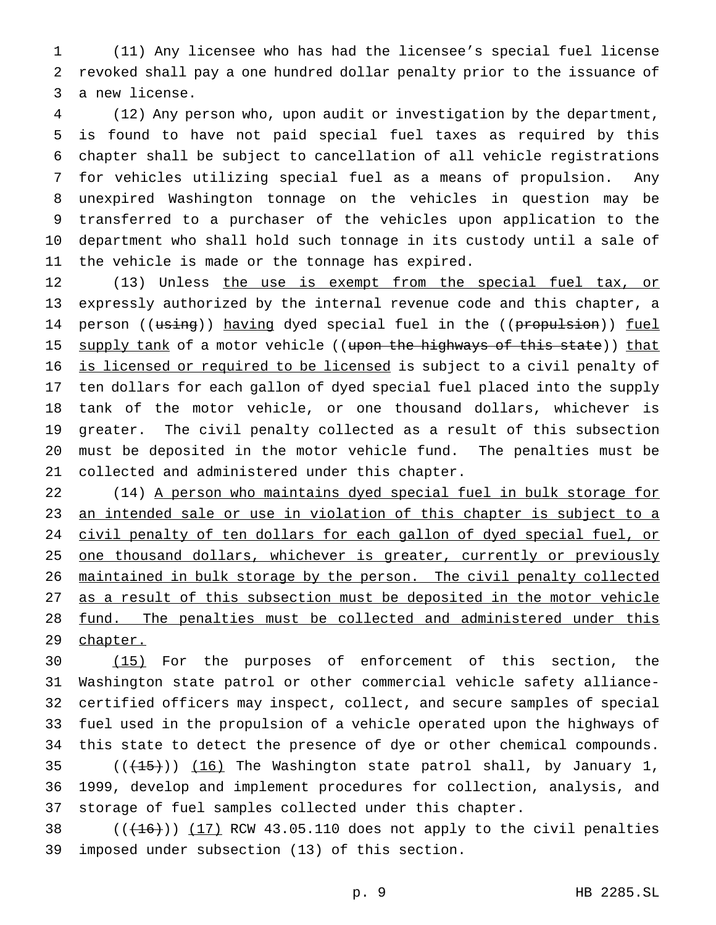(11) Any licensee who has had the licensee's special fuel license revoked shall pay a one hundred dollar penalty prior to the issuance of a new license.

 (12) Any person who, upon audit or investigation by the department, is found to have not paid special fuel taxes as required by this chapter shall be subject to cancellation of all vehicle registrations for vehicles utilizing special fuel as a means of propulsion. Any unexpired Washington tonnage on the vehicles in question may be transferred to a purchaser of the vehicles upon application to the department who shall hold such tonnage in its custody until a sale of the vehicle is made or the tonnage has expired.

12 (13) Unless the use is exempt from the special fuel tax, or expressly authorized by the internal revenue code and this chapter, a 14 person ((using)) having dyed special fuel in the ((propulsion)) fuel 15 supply tank of a motor vehicle ((upon the highways of this state)) that is licensed or required to be licensed is subject to a civil penalty of ten dollars for each gallon of dyed special fuel placed into the supply tank of the motor vehicle, or one thousand dollars, whichever is greater. The civil penalty collected as a result of this subsection must be deposited in the motor vehicle fund. The penalties must be collected and administered under this chapter.

22 (14) A person who maintains dyed special fuel in bulk storage for an intended sale or use in violation of this chapter is subject to a 24 civil penalty of ten dollars for each gallon of dyed special fuel, or 25 one thousand dollars, whichever is greater, currently or previously maintained in bulk storage by the person. The civil penalty collected as a result of this subsection must be deposited in the motor vehicle fund. The penalties must be collected and administered under this 29 chapter.

 (15) For the purposes of enforcement of this section, the Washington state patrol or other commercial vehicle safety alliance- certified officers may inspect, collect, and secure samples of special fuel used in the propulsion of a vehicle operated upon the highways of this state to detect the presence of dye or other chemical compounds.  $((+15))$   $(16)$  The Washington state patrol shall, by January 1, 1999, develop and implement procedures for collection, analysis, and storage of fuel samples collected under this chapter.

38  $((+16))$   $(17)$  RCW 43.05.110 does not apply to the civil penalties imposed under subsection (13) of this section.